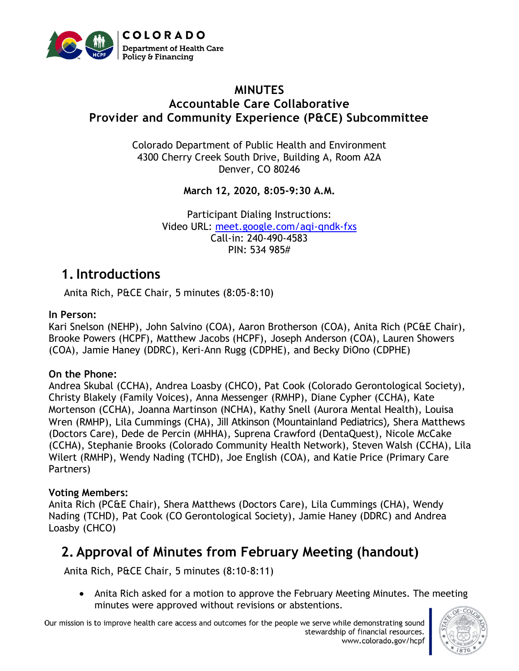

### **MINUTES Accountable Care Collaborative Provider and Community Experience (P&CE) Subcommittee**

Colorado Department of Public Health and Environment 4300 Cherry Creek South Drive, Building A, Room A2A Denver, CO 80246

**March 12, 2020, 8:05-9:30 A.M.**

Participant Dialing Instructions: Video URL: [meet.google.com/aqi-qndk-fxs](http://meet.google.com/aqi-qndk-fxs) Call-in: 240-490-4583 PIN: 534 985#

### **1.Introductions**

Anita Rich, P&CE Chair, 5 minutes (8:05-8:10)

#### **In Person:**

Kari Snelson (NEHP), John Salvino (COA), Aaron Brotherson (COA), Anita Rich (PC&E Chair), Brooke Powers (HCPF), Matthew Jacobs (HCPF), Joseph Anderson (COA), Lauren Showers (COA), Jamie Haney (DDRC), Keri-Ann Rugg (CDPHE), and Becky DiOno (CDPHE)

#### **On the Phone:**

Andrea Skubal (CCHA), Andrea Loasby (CHCO), Pat Cook (Colorado Gerontological Society), Christy Blakely (Family Voices), Anna Messenger (RMHP), Diane Cypher (CCHA), Kate Mortenson (CCHA), Joanna Martinson (NCHA), Kathy Snell (Aurora Mental Health), Louisa Wren (RMHP), Lila Cummings (CHA), Jill Atkinson (Mountainland Pediatrics), Shera Matthews (Doctors Care), Dede de Percin (MHHA), Suprena Crawford (DentaQuest), Nicole McCake (CCHA), Stephanie Brooks (Colorado Community Health Network), Steven Walsh (CCHA), Lila Wilert (RMHP), Wendy Nading (TCHD), Joe English (COA), and Katie Price (Primary Care Partners)

#### **Voting Members:**

Anita Rich (PC&E Chair), Shera Matthews (Doctors Care), Lila Cummings (CHA), Wendy Nading (TCHD), Pat Cook (CO Gerontological Society), Jamie Haney (DDRC) and Andrea Loasby (CHCO)

## **2. Approval of Minutes from February Meeting (handout)**

Anita Rich, P&CE Chair, 5 minutes (8:10-8:11)

• Anita Rich asked for a motion to approve the February Meeting Minutes. The meeting minutes were approved without revisions or abstentions.

Our mission is to improve health care access and outcomes for the people we serve while demonstrating sound stewardship of financial resources. www.colorado.gov/hcpf

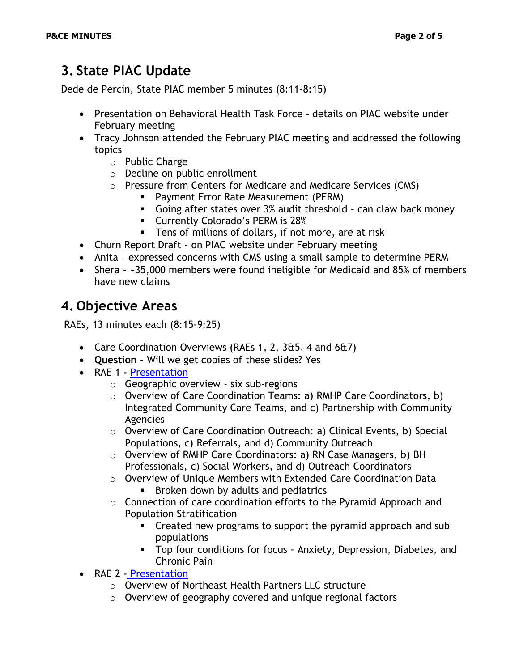# **3. State PIAC Update**

Dede de Percin, State PIAC member 5 minutes (8:11-8:15)

- Presentation on Behavioral Health Task Force details on PIAC website under February meeting
- Tracy Johnson attended the February PIAC meeting and addressed the following topics
	- o Public Charge
	- o Decline on public enrollment
	- o Pressure from Centers for Medicare and Medicare Services (CMS)
		- **Payment Error Rate Measurement (PERM)**
		- Going after states over 3% audit threshold can claw back money
		- Currently Colorado's PERM is 28%
		- Tens of millions of dollars, if not more, are at risk
- Churn Report Draft on PIAC website under February meeting
- Anita expressed concerns with CMS using a small sample to determine PERM
- Shera ~35,000 members were found ineligible for Medicaid and 85% of members have new claims

## **4. Objective Areas**

RAEs, 13 minutes each (8:15-9:25)

- Care Coordination Overviews (RAEs 1, 2, 3&5, 4 and 6&7)
- **Question** Will we get copies of these slides? Yes
- RAE 1 [Presentation](https://www.colorado.gov/pacific/sites/default/files/PIAC%20Provider%20and%20Community%20Experience%20Subcommittee%20Rocky%20Mountain%20Health%20Care%20Coordination%20Overview%20PowerPoint%20March%202020.pdf)
	- o Geographic overview six sub-regions
	- o Overview of Care Coordination Teams: a) RMHP Care Coordinators, b) Integrated Community Care Teams, and c) Partnership with Community Agencies
	- $\circ$  Overview of Care Coordination Outreach: a) Clinical Events, b) Special Populations, c) Referrals, and d) Community Outreach
	- o Overview of RMHP Care Coordinators: a) RN Case Managers, b) BH Professionals, c) Social Workers, and d) Outreach Coordinators
	- o Overview of Unique Members with Extended Care Coordination Data **EXECO BROKER DIGION BY ADDET AND PROMIT IS SET I**
	- $\circ$  Connection of care coordination efforts to the Pyramid Approach and Population Stratification
		- Created new programs to support the pyramid approach and sub populations
		- **•** Top four conditions for focus Anxiety, Depression, Diabetes, and Chronic Pain
- RAE 2 [Presentation](https://www.colorado.gov/pacific/sites/default/files/PIAC%20Provider%20and%20Community%20Experience%20Subcommittee%20Northeast%20Health%20Partners%20RAE%202%20PowerPoint%20March%202020.pdf)
	- o Overview of Northeast Health Partners LLC structure
	- o Overview of geography covered and unique regional factors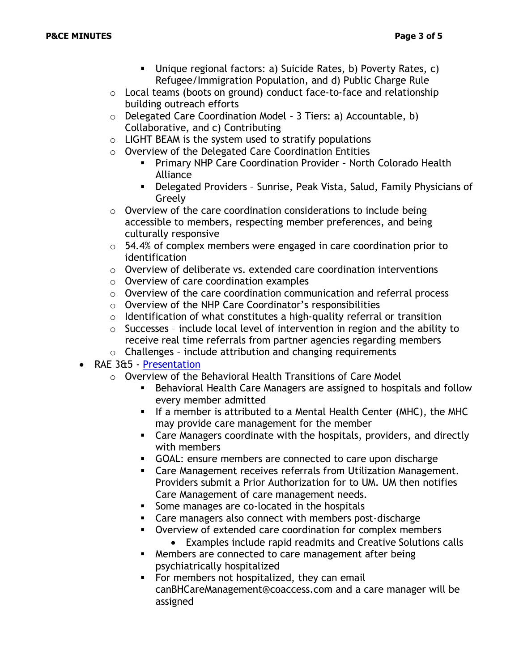- Unique regional factors: a) Suicide Rates, b) Poverty Rates, c) Refugee/Immigration Population, and d) Public Charge Rule
- $\circ$  Local teams (boots on ground) conduct face-to-face and relationship building outreach efforts
- o Delegated Care Coordination Model 3 Tiers: a) Accountable, b) Collaborative, and c) Contributing
- $\circ$  LIGHT BEAM is the system used to stratify populations
- o Overview of the Delegated Care Coordination Entities
	- **Primary NHP Care Coordination Provider North Colorado Health** Alliance
	- Delegated Providers Sunrise, Peak Vista, Salud, Family Physicians of Greely
- $\circ$  Overview of the care coordination considerations to include being accessible to members, respecting member preferences, and being culturally responsive
- $\circ$  54.4% of complex members were engaged in care coordination prior to identification
- $\circ$  Overview of deliberate vs. extended care coordination interventions
- o Overview of care coordination examples
- o Overview of the care coordination communication and referral process
- o Overview of the NHP Care Coordinator's responsibilities
- $\circ$  Identification of what constitutes a high-quality referral or transition
- $\circ$  Successes include local level of intervention in region and the ability to receive real time referrals from partner agencies regarding members
- o Challenges include attribution and changing requirements
- RAE 3&5 [Presentation](https://www.colorado.gov/pacific/sites/default/files/PIAC%20Provider%20and%20Community%20Experience%20Subcommittee%20Colorado%20Access%20Care%20Coordination%20Model%20and%20Program%20RAE%203%20and%205%20PowerPoint%20March%202020.pdf)
	- o Overview of the Behavioral Health Transitions of Care Model
		- **EXP** Behavioral Health Care Managers are assigned to hospitals and follow every member admitted
		- **.** If a member is attributed to a Mental Health Center (MHC), the MHC may provide care management for the member
		- Care Managers coordinate with the hospitals, providers, and directly with members
		- GOAL: ensure members are connected to care upon discharge
		- Care Management receives referrals from Utilization Management. Providers submit a Prior Authorization for to UM. UM then notifies Care Management of care management needs.
		- Some manages are co-located in the hospitals
		- Care managers also connect with members post-discharge
		- Overview of extended care coordination for complex members
		- Examples include rapid readmits and Creative Solutions calls ■ Members are connected to care management after being psychiatrically hospitalized
		- For members not hospitalized, they can email canBHCareManagement@coaccess.com and a care manager will be assigned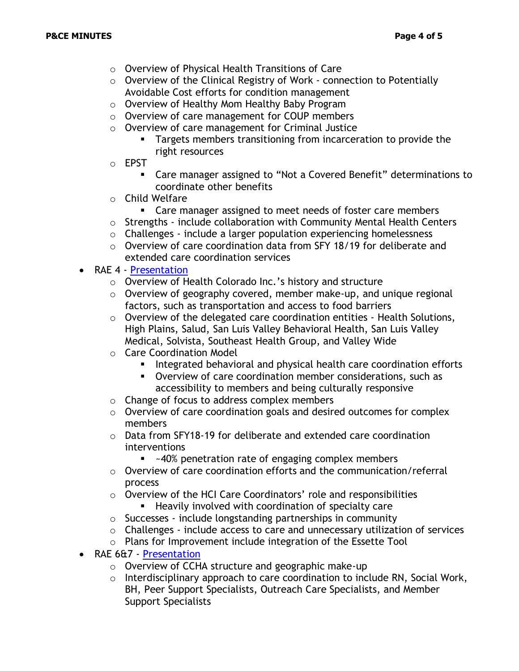- o Overview of Physical Health Transitions of Care
- o Overview of the Clinical Registry of Work connection to Potentially Avoidable Cost efforts for condition management
- o Overview of Healthy Mom Healthy Baby Program
- o Overview of care management for COUP members
- o Overview of care management for Criminal Justice
	- **EXECT** Targets members transitioning from incarceration to provide the right resources
- o EPST
	- Care manager assigned to "Not a Covered Benefit" determinations to coordinate other benefits
- o Child Welfare
	- Care manager assigned to meet needs of foster care members
- $\circ$  Strengths include collaboration with Community Mental Health Centers
- o Challenges include a larger population experiencing homelessness
- $\circ$  Overview of care coordination data from SFY 18/19 for deliberate and extended care coordination services
- RAE 4 [Presentation](https://www.colorado.gov/pacific/sites/default/files/PIAC%20Provider%20and%20Community%20Experience%20Subcommittee%20Health%20Colorado%20RAE%204%20PowerPoint%20March%202020.pdf)
	- o Overview of Health Colorado Inc.'s history and structure
	- o Overview of geography covered, member make-up, and unique regional factors, such as transportation and access to food barriers
	- o Overview of the delegated care coordination entities Health Solutions, High Plains, Salud, San Luis Valley Behavioral Health, San Luis Valley Medical, Solvista, Southeast Health Group, and Valley Wide
	- o Care Coordination Model
		- Integrated behavioral and physical health care coordination efforts
		- Overview of care coordination member considerations, such as accessibility to members and being culturally responsive
	- o Change of focus to address complex members
	- o Overview of care coordination goals and desired outcomes for complex members
	- $\circ$  Data from SFY18-19 for deliberate and extended care coordination interventions
		- ~40% penetration rate of engaging complex members
	- o Overview of care coordination efforts and the communication/referral process
	- o Overview of the HCI Care Coordinators' role and responsibilities
		- Heavily involved with coordination of specialty care
	- o Successes include longstanding partnerships in community
	- o Challenges include access to care and unnecessary utilization of services
	- o Plans for Improvement include integration of the Essette Tool
- RAE 6&7 [Presentation](https://www.colorado.gov/pacific/sites/default/files/PIAC%20Provider%20and%20Community%20Experience%20Subcommittee%20Colorado%20Community%20Health%20Alliance%20RAE%206%20and%207%20PowerPoint%20March%202020.pdf)
	- o Overview of CCHA structure and geographic make-up
	- o Interdisciplinary approach to care coordination to include RN, Social Work, BH, Peer Support Specialists, Outreach Care Specialists, and Member Support Specialists